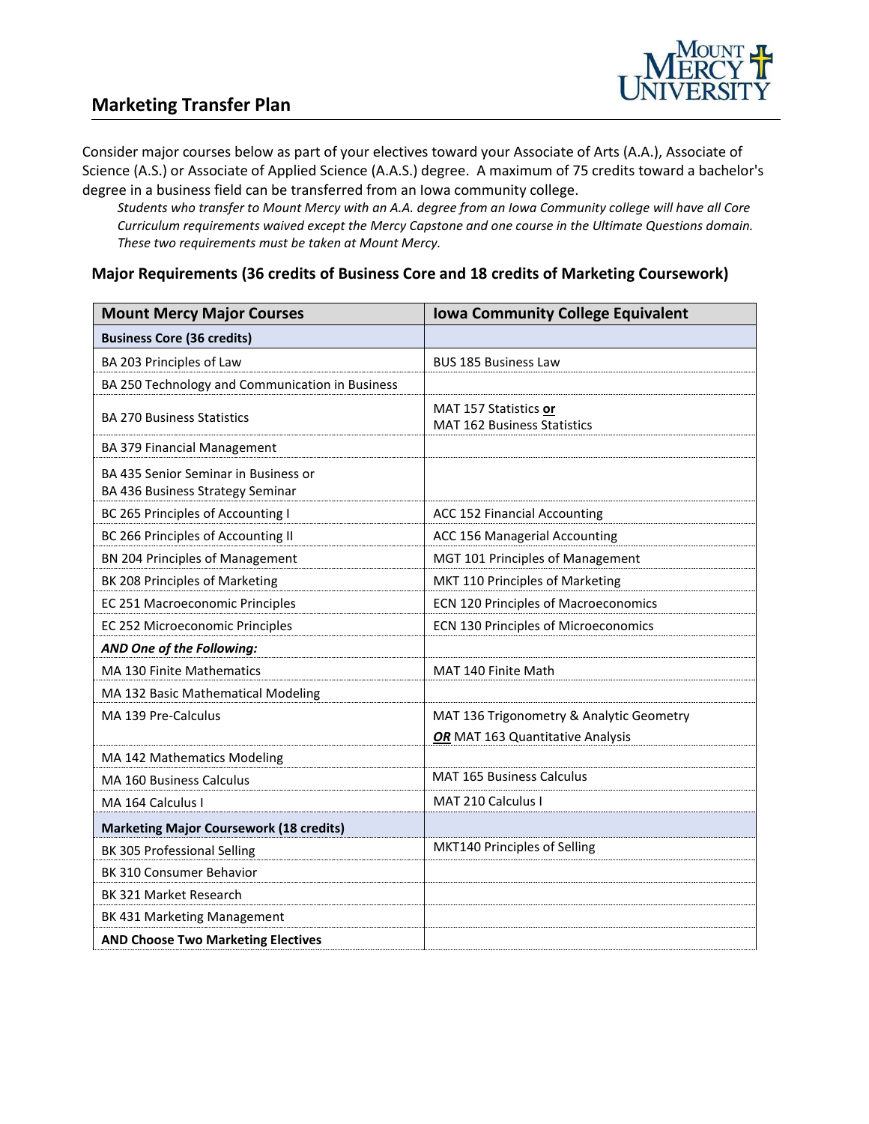

# **Marketing Transfer Plan**

Consider major courses below as part of your electives toward your Associate of Arts (A.A.), Associate of Science (A.S.) or Associate of Applied Science (A.A.S.) degree. A maximum of 75 credits toward a bachelor's degree in a business field can be transferred from an Iowa community college.

*Students who transfer to Mount Mercy with an A.A. degree from an Iowa Community college will have all Core Curriculum requirements waived except the Mercy Capstone and one course in the Ultimate Questions domain. These two requirements must be taken at Mount Mercy.* 

#### **Major Requirements (36 credits of Business Core and 18 credits of Marketing Coursework)**

| <b>Mount Mercy Major Courses</b>                                         | <b>Iowa Community College Equivalent</b>                    |
|--------------------------------------------------------------------------|-------------------------------------------------------------|
| <b>Business Core (36 credits)</b>                                        |                                                             |
| BA 203 Principles of Law                                                 | <b>BUS 185 Business Law</b>                                 |
| BA 250 Technology and Communication in Business                          |                                                             |
| <b>BA 270 Business Statistics</b>                                        | MAT 157 Statistics or<br><b>MAT 162 Business Statistics</b> |
| <b>BA 379 Financial Management</b>                                       |                                                             |
| BA 435 Senior Seminar in Business or<br>BA 436 Business Strategy Seminar |                                                             |
| BC 265 Principles of Accounting I                                        | ACC 152 Financial Accounting                                |
| BC 266 Principles of Accounting II                                       | ACC 156 Managerial Accounting                               |
| BN 204 Principles of Management                                          | MGT 101 Principles of Management                            |
| BK 208 Principles of Marketing                                           | MKT 110 Principles of Marketing                             |
| EC 251 Macroeconomic Principles                                          | ECN 120 Principles of Macroeconomics                        |
| EC 252 Microeconomic Principles                                          | ECN 130 Principles of Microeconomics                        |
| AND One of the Following:                                                |                                                             |
| MA 130 Finite Mathematics                                                | MAT 140 Finite Math                                         |
| MA 132 Basic Mathematical Modeling                                       |                                                             |
| MA 139 Pre-Calculus                                                      | MAT 136 Trigonometry & Analytic Geometry                    |
|                                                                          | OR MAT 163 Quantitative Analysis                            |
| MA 142 Mathematics Modeling                                              |                                                             |
| <b>MA 160 Business Calculus</b>                                          | <b>MAT 165 Business Calculus</b>                            |
| MA 164 Calculus I                                                        | MAT 210 Calculus I                                          |
| <b>Marketing Major Coursework (18 credits)</b>                           |                                                             |
| BK 305 Professional Selling                                              | MKT140 Principles of Selling                                |
| BK 310 Consumer Behavior                                                 |                                                             |
| BK 321 Market Research                                                   |                                                             |
| BK 431 Marketing Management                                              |                                                             |
| <b>AND Choose Two Marketing Electives</b>                                |                                                             |